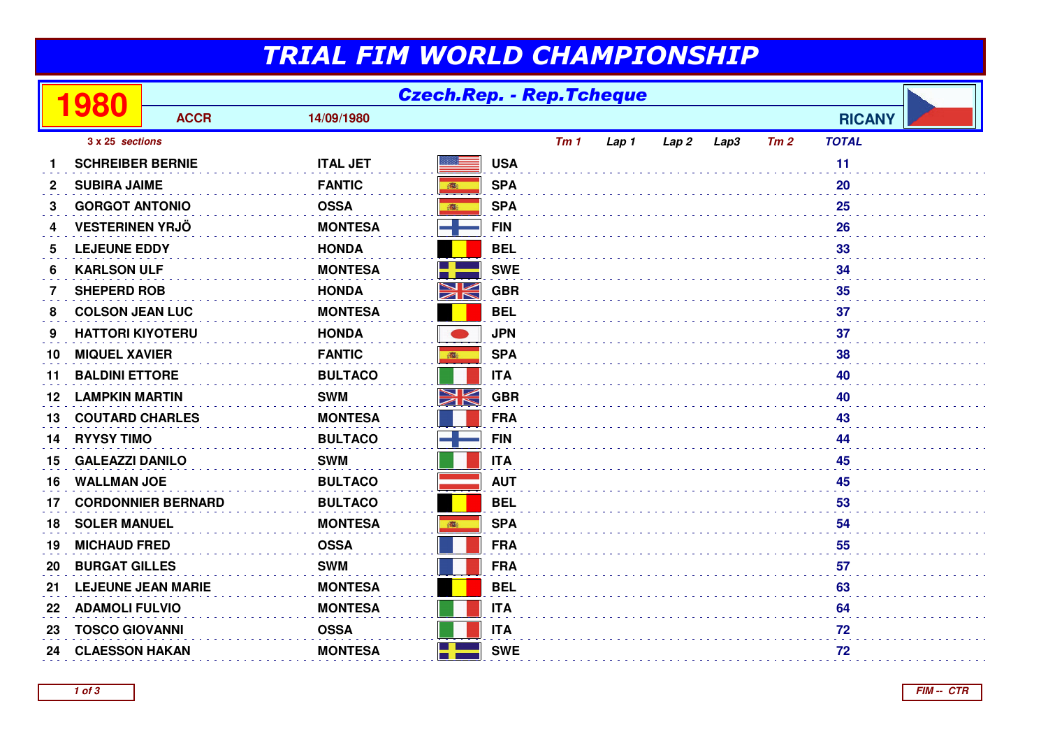## TRIAL FIM WORLD CHAMPIONSHIP

|              | 980                       | <b>Czech.Rep. - Rep.Tcheque</b> |                 |            |            |                 |       |                  |      |     |               |  |
|--------------|---------------------------|---------------------------------|-----------------|------------|------------|-----------------|-------|------------------|------|-----|---------------|--|
|              |                           | <b>ACCR</b>                     | 14/09/1980      |            |            |                 |       |                  |      |     | <b>RICANY</b> |  |
|              | 3 x 25 sections           |                                 |                 |            |            | Tm <sub>1</sub> | Lap 1 | Lap <sub>2</sub> | Lap3 | Tm2 | <b>TOTAL</b>  |  |
|              | <b>SCHREIBER BERNIE</b>   |                                 | <b>ITAL JET</b> |            | <b>USA</b> |                 |       |                  |      |     | 11            |  |
| $\mathbf{2}$ | <b>SUBIRA JAIME</b>       |                                 | <b>FANTIC</b>   | 高          | <b>SPA</b> |                 |       |                  |      |     | 20            |  |
| 3            | <b>GORGOT ANTONIO</b>     |                                 | <b>OSSA</b>     | 藏          | <b>SPA</b> |                 |       |                  |      |     | 25            |  |
| 4            | <b>VESTERINEN YRJÖ</b>    |                                 | <b>MONTESA</b>  |            | <b>FIN</b> |                 |       |                  |      |     | 26            |  |
| 5            | <b>LEJEUNE EDDY</b>       |                                 | <b>HONDA</b>    |            | <b>BEL</b> |                 |       |                  |      |     | 33            |  |
| 6            | <b>KARLSON ULF</b>        |                                 | <b>MONTESA</b>  |            | <b>SWE</b> |                 |       |                  |      |     | 34            |  |
| 7            | <b>SHEPERD ROB</b>        |                                 | <b>HONDA</b>    | NK         | <b>GBR</b> |                 |       |                  |      |     | 35            |  |
| 8            | <b>COLSON JEAN LUC</b>    |                                 | <b>MONTESA</b>  |            | <b>BEL</b> |                 |       |                  |      |     | 37            |  |
| 9            | <b>HATTORI KIYOTERU</b>   |                                 | <b>HONDA</b>    |            | <b>JPN</b> |                 |       |                  |      |     | 37            |  |
| 10           | <b>MIQUEL XAVIER</b>      |                                 | <b>FANTIC</b>   | <b>BEE</b> | <b>SPA</b> |                 |       |                  |      |     | 38            |  |
| 11           | <b>BALDINI ETTORE</b>     |                                 | <b>BULTACO</b>  |            | <b>ITA</b> |                 |       |                  |      |     | 40            |  |
| 12           | <b>LAMPKIN MARTIN</b>     |                                 | <b>SWM</b>      | N<br>ZN    | <b>GBR</b> |                 |       |                  |      |     | 40            |  |
| 13           | <b>COUTARD CHARLES</b>    |                                 | <b>MONTESA</b>  |            | <b>FRA</b> |                 |       |                  |      |     | 43            |  |
| 14           | <b>RYYSY TIMO</b>         |                                 | <b>BULTACO</b>  |            | <b>FIN</b> |                 |       |                  |      |     | 44            |  |
| 15           | <b>GALEAZZI DANILO</b>    |                                 | <b>SWM</b>      |            | <b>ITA</b> |                 |       |                  |      |     | 45            |  |
| 16           | <b>WALLMAN JOE</b>        |                                 | <b>BULTACO</b>  |            | <b>AUT</b> |                 |       |                  |      |     | 45            |  |
| 17           | <b>CORDONNIER BERNARD</b> |                                 | <b>BULTACO</b>  |            | <b>BEL</b> |                 |       |                  |      |     | 53            |  |
| 18           | <b>SOLER MANUEL</b>       |                                 | <b>MONTESA</b>  | ●          | <b>SPA</b> | 54              |       |                  |      |     |               |  |
| 19           | <b>MICHAUD FRED</b>       |                                 | <b>OSSA</b>     |            | <b>FRA</b> |                 |       |                  |      |     | 55            |  |
| 20           | <b>BURGAT GILLES</b>      |                                 | <b>SWM</b>      |            | <b>FRA</b> |                 |       |                  |      |     | 57            |  |
| 21           | <b>LEJEUNE JEAN MARIE</b> |                                 | <b>MONTESA</b>  |            | <b>BEL</b> |                 |       |                  |      |     | 63            |  |
| 22           | <b>ADAMOLI FULVIO</b>     |                                 | <b>MONTESA</b>  |            | <b>ITA</b> |                 |       |                  |      |     | 64            |  |
| 23           | <b>TOSCO GIOVANNI</b>     |                                 | <b>OSSA</b>     |            | <b>ITA</b> |                 |       |                  |      |     | 72            |  |
| 24           | <b>CLAESSON HAKAN</b>     |                                 | <b>MONTESA</b>  | H.         | <b>SWE</b> |                 |       |                  |      |     | 72            |  |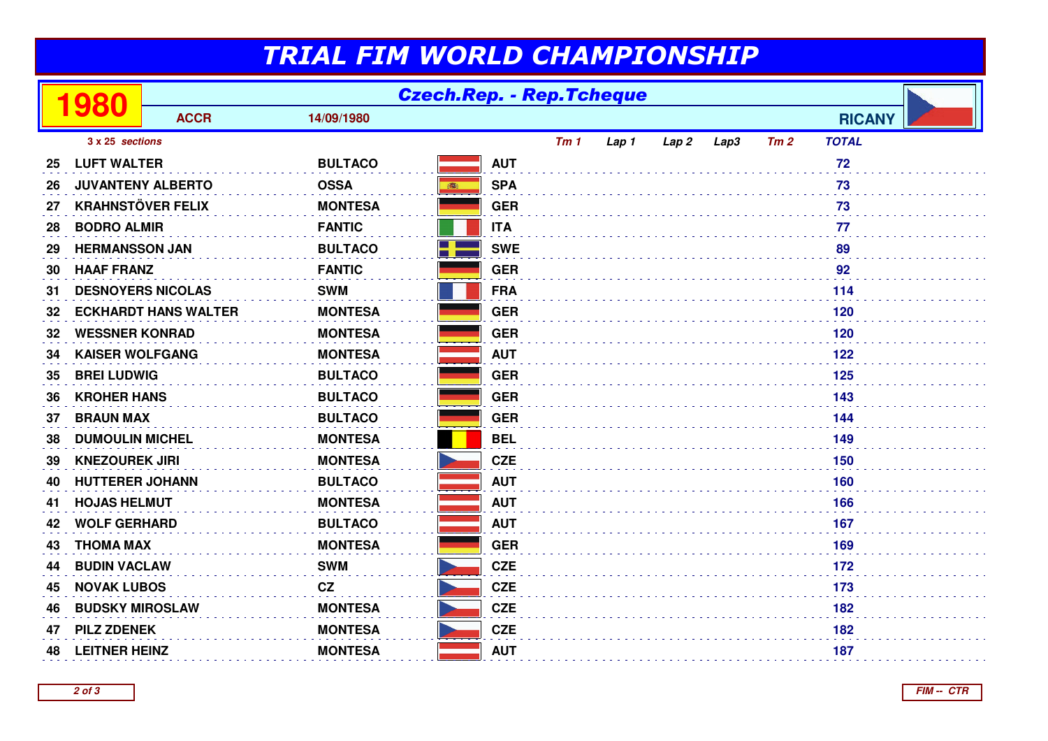## TRIAL FIM WORLD CHAMPIONSHIP

|                 | 980                         | <b>Czech.Rep. - Rep.Tcheque</b> |                |                   |     |       |       |      |     |               |  |
|-----------------|-----------------------------|---------------------------------|----------------|-------------------|-----|-------|-------|------|-----|---------------|--|
|                 |                             | <b>ACCR</b>                     | 14/09/1980     |                   |     |       |       |      |     | <b>RICANY</b> |  |
| 3 x 25 sections |                             |                                 |                |                   | Tm1 | Lap 1 | Lap 2 | Lap3 | Tm2 | <b>TOTAL</b>  |  |
| 25              | <b>LUFT WALTER</b>          |                                 | <b>BULTACO</b> | <b>AUT</b>        |     |       |       |      |     | 72            |  |
| 26              | <b>JUVANTENY ALBERTO</b>    |                                 | <b>OSSA</b>    | <b>SPA</b><br>●   |     |       |       |      |     | 73            |  |
| 27              | <b>KRAHNSTÖVER FELIX</b>    |                                 | <b>MONTESA</b> | <b>GER</b>        |     |       |       |      |     | 73            |  |
| 28              | <b>BODRO ALMIR</b>          |                                 | <b>FANTIC</b>  | <b>ITA</b>        |     |       |       |      |     | 77            |  |
| 29              | <b>HERMANSSON JAN</b>       |                                 | <b>BULTACO</b> | <b>SWE</b><br>- 1 |     |       |       |      |     | 89            |  |
| 30              | <b>HAAF FRANZ</b>           |                                 | <b>FANTIC</b>  | <b>GER</b>        |     |       |       |      |     | 92            |  |
| 31              | <b>DESNOYERS NICOLAS</b>    |                                 | <b>SWM</b>     | <b>FRA</b>        |     |       |       |      |     | 114           |  |
| 32              | <b>ECKHARDT HANS WALTER</b> |                                 | <b>MONTESA</b> | <b>GER</b>        |     |       |       |      |     | 120           |  |
| 32              | <b>WESSNER KONRAD</b>       |                                 | <b>MONTESA</b> | <b>GER</b>        |     |       |       |      |     | 120           |  |
| 34              | <b>KAISER WOLFGANG</b>      |                                 | <b>MONTESA</b> | <b>AUT</b>        |     |       |       |      |     | 122           |  |
| 35              | <b>BREI LUDWIG</b>          |                                 | <b>BULTACO</b> | <b>GER</b>        |     |       |       |      |     | 125           |  |
| 36              | <b>KROHER HANS</b>          |                                 | <b>BULTACO</b> | <b>GER</b>        |     |       |       |      |     | 143           |  |
| 37              | <b>BRAUN MAX</b>            |                                 | <b>BULTACO</b> | <b>GER</b>        |     |       |       |      |     | 144           |  |
| 38              | <b>DUMOULIN MICHEL</b>      |                                 | <b>MONTESA</b> | <b>BEL</b>        |     |       |       |      |     | 149           |  |
| 39              | <b>KNEZOUREK JIRI</b>       |                                 | <b>MONTESA</b> | <b>CZE</b>        |     |       |       |      |     | 150           |  |
| 40              | <b>HUTTERER JOHANN</b>      |                                 | <b>BULTACO</b> | <b>AUT</b>        |     |       |       |      |     | 160           |  |
| 41              | <b>HOJAS HELMUT</b>         |                                 | <b>MONTESA</b> | <b>AUT</b>        |     |       |       |      |     | 166           |  |
| 42              | <b>WOLF GERHARD</b>         |                                 | <b>BULTACO</b> | <b>AUT</b>        |     |       |       |      |     | 167           |  |
| 43              | <b>THOMA MAX</b>            |                                 | <b>MONTESA</b> | <b>GER</b>        | 169 |       |       |      |     |               |  |
| 44              | <b>BUDIN VACLAW</b>         |                                 | <b>SWM</b>     | <b>CZE</b>        |     |       |       |      |     | 172           |  |
| 45              | <b>NOVAK LUBOS</b>          |                                 | CZ             | <b>CZE</b>        |     |       |       |      |     | 173           |  |
| 46              | <b>BUDSKY MIROSLAW</b>      |                                 | <b>MONTESA</b> | <b>CZE</b>        |     |       |       |      |     | 182           |  |
| 47              | <b>PILZ ZDENEK</b>          |                                 | <b>MONTESA</b> | <b>CZE</b>        |     |       |       |      |     | 182           |  |
| 48              | <b>LEITNER HEINZ</b>        |                                 | <b>MONTESA</b> | <b>AUT</b>        |     |       |       |      |     | 187           |  |